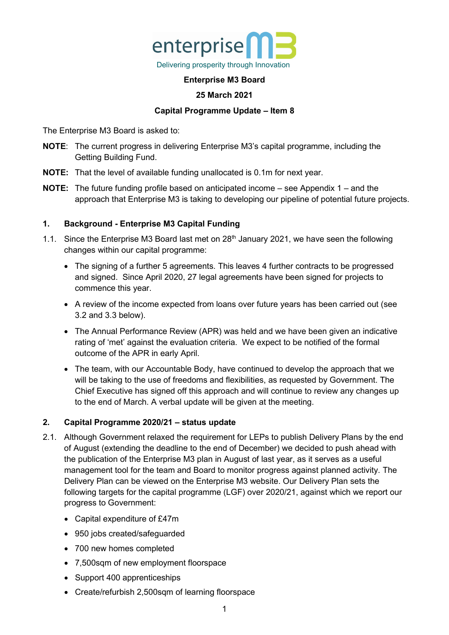

## **Enterprise M3 Board**

## **25 March 2021**

## **Capital Programme Update – Item 8**

The Enterprise M3 Board is asked to:

- **NOTE**: The current progress in delivering Enterprise M3's capital programme, including the Getting Building Fund.
- **NOTE:** That the level of available funding unallocated is 0.1m for next year.
- **NOTE:** The future funding profile based on anticipated income see Appendix 1 and the approach that Enterprise M3 is taking to developing our pipeline of potential future projects.

## **1. Background - Enterprise M3 Capital Funding**

- 1.1. Since the Enterprise M3 Board last met on 28<sup>th</sup> January 2021, we have seen the following changes within our capital programme:
	- The signing of a further 5 agreements. This leaves 4 further contracts to be progressed and signed. Since April 2020, 27 legal agreements have been signed for projects to commence this year.
	- A review of the income expected from loans over future years has been carried out (see 3.2 and 3.3 below).
	- The Annual Performance Review (APR) was held and we have been given an indicative rating of 'met' against the evaluation criteria. We expect to be notified of the formal outcome of the APR in early April.
	- The team, with our Accountable Body, have continued to develop the approach that we will be taking to the use of freedoms and flexibilities, as requested by Government. The Chief Executive has signed off this approach and will continue to review any changes up to the end of March. A verbal update will be given at the meeting.

### **2. Capital Programme 2020/21 – status update**

- 2.1. Although Government relaxed the requirement for LEPs to publish Delivery Plans by the end of August (extending the deadline to the end of December) we decided to push ahead with the publication of the Enterprise M3 plan in August of last year, as it serves as a useful management tool for the team and Board to monitor progress against planned activity. [The](https://www.enterprisem3.org.uk/sites/default/files/2020-09/Delivery%20plan%20final%20.pdf)  Delivery Plan can be viewed [on the Enterprise M3 website.](https://www.enterprisem3.org.uk/sites/default/files/2020-09/Delivery%20plan%20final%20.pdf) Our Delivery Plan sets the following targets for the capital programme (LGF) over 2020/21, against which we report our progress to Government:
	- Capital expenditure of £47m
	- 950 jobs created/safeguarded
	- 700 new homes completed
	- 7,500sqm of new employment floorspace
	- Support 400 apprenticeships
	- Create/refurbish 2,500sqm of learning floorspace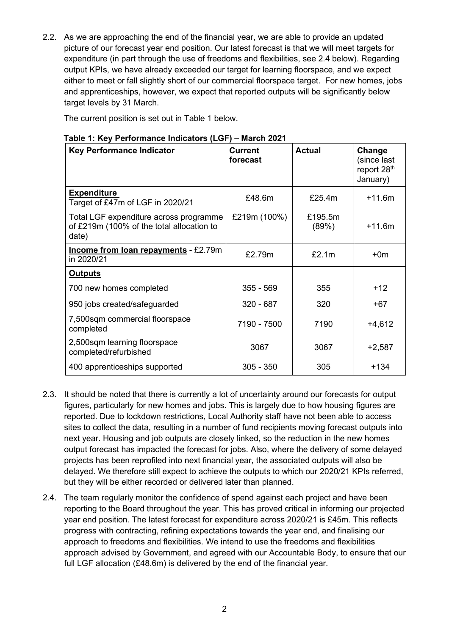2.2. As we are approaching the end of the financial year, we are able to provide an updated picture of our forecast year end position. Our latest forecast is that we will meet targets for expenditure (in part through the use of freedoms and flexibilities, see 2.4 below). Regarding output KPIs, we have already exceeded our target for learning floorspace, and we expect either to meet or fall slightly short of our commercial floorspace target. For new homes, jobs and apprenticeships, however, we expect that reported outputs will be significantly below target levels by 31 March.

The current position is set out in Table 1 below.

| <b>Key Performance Indicator</b>                                                             | <b>Current</b><br>forecast | <b>Actual</b>    | Change<br>(since last<br>report 28th<br>January) |
|----------------------------------------------------------------------------------------------|----------------------------|------------------|--------------------------------------------------|
| <b>Expenditure</b><br>Target of £47m of LGF in 2020/21                                       | £48.6m                     | £25.4m           | $+11.6m$                                         |
| Total LGF expenditure across programme<br>of £219m (100% of the total allocation to<br>date) | £219m (100%)               | £195.5m<br>(89%) | $+11.6m$                                         |
| <b>Income from loan repayments - £2.79m</b><br>in 2020/21                                    | £2.79m                     | £2.1m            | $+0m$                                            |
| <b>Outputs</b>                                                                               |                            |                  |                                                  |
| 700 new homes completed                                                                      | $355 - 569$                | 355              | $+12$                                            |
| 950 jobs created/safeguarded                                                                 | $320 - 687$                | 320              | $+67$                                            |
| 7,500sqm commercial floorspace<br>completed                                                  | 7190 - 7500                | 7190             | $+4,612$                                         |
| 2,500sqm learning floorspace<br>completed/refurbished                                        | 3067                       | 3067             | $+2,587$                                         |
| 400 apprenticeships supported                                                                | $305 - 350$                | 305              | $+134$                                           |

## **Table 1: Key Performance Indicators (LGF) – March 2021**

- 2.3. It should be noted that there is currently a lot of uncertainty around our forecasts for output figures, particularly for new homes and jobs. This is largely due to how housing figures are reported. Due to lockdown restrictions, Local Authority staff have not been able to access sites to collect the data, resulting in a number of fund recipients moving forecast outputs into next year. Housing and job outputs are closely linked, so the reduction in the new homes output forecast has impacted the forecast for jobs. Also, where the delivery of some delayed projects has been reprofiled into next financial year, the associated outputs will also be delayed. We therefore still expect to achieve the outputs to which our 2020/21 KPIs referred, but they will be either recorded or delivered later than planned.
- 2.4. The team regularly monitor the confidence of spend against each project and have been reporting to the Board throughout the year. This has proved critical in informing our projected year end position. The latest forecast for expenditure across 2020/21 is £45m. This reflects progress with contracting, refining expectations towards the year end, and finalising our approach to freedoms and flexibilities. We intend to use the freedoms and flexibilities approach advised by Government, and agreed with our Accountable Body, to ensure that our full LGF allocation (£48.6m) is delivered by the end of the financial year.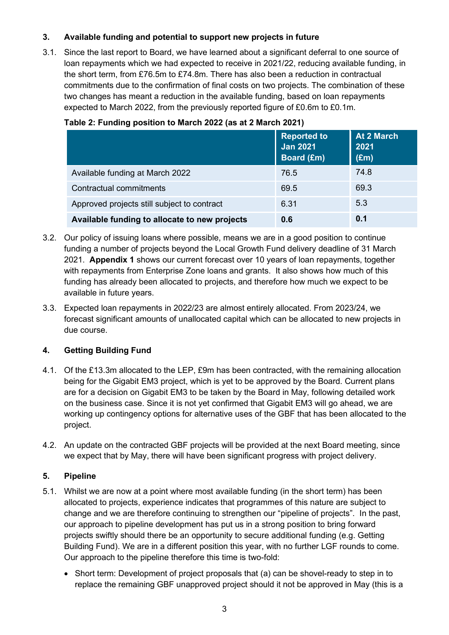# **3. Available funding and potential to support new projects in future**

3.1. Since the last report to Board, we have learned about a significant deferral to one source of loan repayments which we had expected to receive in 2021/22, reducing available funding, in the short term, from £76.5m to £74.8m. There has also been a reduction in contractual commitments due to the confirmation of final costs on two projects. The combination of these two changes has meant a reduction in the available funding, based on loan repayments expected to March 2022, from the previously reported figure of £0.6m to £0.1m.

|                                               | <b>Reported to</b><br><b>Jan 2021</b><br><b>Board (£m)</b> | At 2 March<br>2021<br>$(\text{Em})$ |
|-----------------------------------------------|------------------------------------------------------------|-------------------------------------|
| Available funding at March 2022               | 76.5                                                       | 74.8                                |
| Contractual commitments                       | 69.5                                                       | 69.3                                |
| Approved projects still subject to contract   | 6.31                                                       | 5.3                                 |
| Available funding to allocate to new projects | 0.6                                                        | 0.1                                 |

### **Table 2: Funding position to March 2022 (as at 2 March 2021)**

- 3.2. Our policy of issuing loans where possible, means we are in a good position to continue funding a number of projects beyond the Local Growth Fund delivery deadline of 31 March 2021. **Appendix 1** shows our current forecast over 10 years of loan repayments, together with repayments from Enterprise Zone loans and grants. It also shows how much of this funding has already been allocated to projects, and therefore how much we expect to be available in future years.
- 3.3. Expected loan repayments in 2022/23 are almost entirely allocated. From 2023/24, we forecast significant amounts of unallocated capital which can be allocated to new projects in due course.

# **4. Getting Building Fund**

- 4.1. Of the £13.3m allocated to the LEP, £9m has been contracted, with the remaining allocation being for the Gigabit EM3 project, which is yet to be approved by the Board. Current plans are for a decision on Gigabit EM3 to be taken by the Board in May, following detailed work on the business case. Since it is not yet confirmed that Gigabit EM3 will go ahead, we are working up contingency options for alternative uses of the GBF that has been allocated to the project.
- 4.2. An update on the contracted GBF projects will be provided at the next Board meeting, since we expect that by May, there will have been significant progress with project delivery.

# **5. Pipeline**

- 5.1. Whilst we are now at a point where most available funding (in the short term) has been allocated to projects, experience indicates that programmes of this nature are subject to change and we are therefore continuing to strengthen our "pipeline of projects". In the past, our approach to pipeline development has put us in a strong position to bring forward projects swiftly should there be an opportunity to secure additional funding (e.g. Getting Building Fund). We are in a different position this year, with no further LGF rounds to come. Our approach to the pipeline therefore this time is two-fold:
	- Short term: Development of project proposals that (a) can be shovel-ready to step in to replace the remaining GBF unapproved project should it not be approved in May (this is a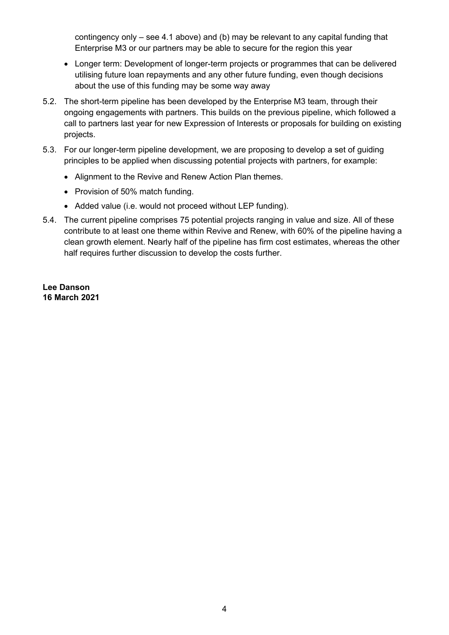contingency only – see 4.1 above) and (b) may be relevant to any capital funding that Enterprise M3 or our partners may be able to secure for the region this year

- Longer term: Development of longer-term projects or programmes that can be delivered utilising future loan repayments and any other future funding, even though decisions about the use of this funding may be some way away
- 5.2. The short-term pipeline has been developed by the Enterprise M3 team, through their ongoing engagements with partners. This builds on the previous pipeline, which followed a call to partners last year for new Expression of Interests or proposals for building on existing projects.
- 5.3. For our longer-term pipeline development, we are proposing to develop a set of guiding principles to be applied when discussing potential projects with partners, for example:
	- Alignment to the Revive and Renew Action Plan themes.
	- Provision of 50% match funding.
	- Added value (i.e. would not proceed without LEP funding).
- 5.4. The current pipeline comprises 75 potential projects ranging in value and size. All of these contribute to at least one theme within Revive and Renew, with 60% of the pipeline having a clean growth element. Nearly half of the pipeline has firm cost estimates, whereas the other half requires further discussion to develop the costs further.

**Lee Danson 16 March 2021**